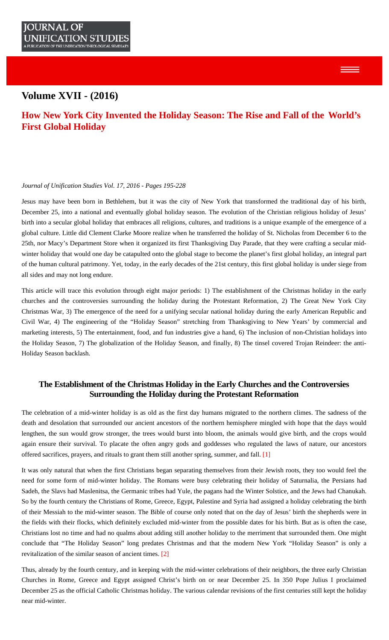# <span id="page-0-0"></span>**Volume XVII - (2016)**

# **[How New York City Invented the Holiday Season: The Rise and Fall of the World's](#page-0-0) [First Global Holiday](#page-0-0)**

## *Journal of Unification Studies Vol. 17, 2016 - Pages 195-228*

Jesus may have been born in Bethlehem, but it was the city of New York that transformed the traditional day of his birth, December 25, into a national and eventually global holiday season. The evolution of the Christian religious holiday of Jesus' birth into a secular global holiday that embraces all religions, cultures, and traditions is a unique example of the emergence of a global culture. Little did Clement Clarke Moore realize when he transferred the holiday of St. Nicholas from December 6 to the 25th, nor Macy's Department Store when it organized its first Thanksgiving Day Parade, that they were crafting a secular midwinter holiday that would one day be catapulted onto the global stage to become the planet's first global holiday, an integral part of the human cultural patrimony. Yet, today, in the early decades of the 21st century, this first global holiday is under siege from all sides and may not long endure.

This article will trace this evolution through eight major periods: 1) The establishment of the Christmas holiday in the early churches and the controversies surrounding the holiday during the Protestant Reformation, 2) The Great New York City Christmas War, 3) The emergence of the need for a unifying secular national holiday during the early American Republic and Civil War, 4) The engineering of the "Holiday Season" stretching from Thanksgiving to New Years' by commercial and marketing interests, 5) The entertainment, food, and fun industries give a hand, 6) The inclusion of non-Christian holidays into the Holiday Season, 7) The globalization of the Holiday Season, and finally, 8) The tinsel covered Trojan Reindeer: the anti-Holiday Season backlash.

# **The Establishment of the Christmas Holiday in the Early Churches and the Controversies Surrounding the Holiday during the Protestant Reformation**

The celebration of a mid-winter holiday is as old as the first day humans migrated to the northern climes. The sadness of the death and desolation that surrounded our ancient ancestors of the northern hemisphere mingled with hope that the days would lengthen, the sun would grow stronger, the trees would burst into bloom, the animals would give birth, and the crops would again ensure their survival. To placate the often angry gods and goddesses who regulated the laws of nature, our ancestors offered sacrifices, prayers, and rituals to grant them still another spring, summer, and fall. [\[1\]](#page-14-0)

<span id="page-0-1"></span>It was only natural that when the first Christians began separating themselves from their Jewish roots, they too would feel the need for some form of mid-winter holiday. The Romans were busy celebrating their holiday of Saturnalia, the Persians had Sadeh, the Slavs had Maslenitsa, the Germanic tribes had Yule, the pagans had the Winter Solstice, and the Jews had Chanukah. So by the fourth century the Christians of Rome, Greece, Egypt, Palestine and Syria had assigned a holiday celebrating the birth of their Messiah to the mid-winter season. The Bible of course only noted that on the day of Jesus' birth the shepherds were in the fields with their flocks, which definitely excluded mid-winter from the possible dates for his birth. But as is often the case, Christians lost no time and had no qualms about adding still another holiday to the merriment that surrounded them. One might conclude that "The Holiday Season" long predates Christmas and that the modern New York "Holiday Season" is only a revitalization of the similar season of ancient times. [\[2\]](#page-15-0)

<span id="page-0-2"></span>Thus, already by the fourth century, and in keeping with the mid-winter celebrations of their neighbors, the three early Christian Churches in Rome, Greece and Egypt assigned Christ's birth on or near December 25. In 350 Pope Julius I proclaimed December 25 as the official Catholic Christmas holiday. The various calendar revisions of the first centuries still kept the holiday near mid-winter.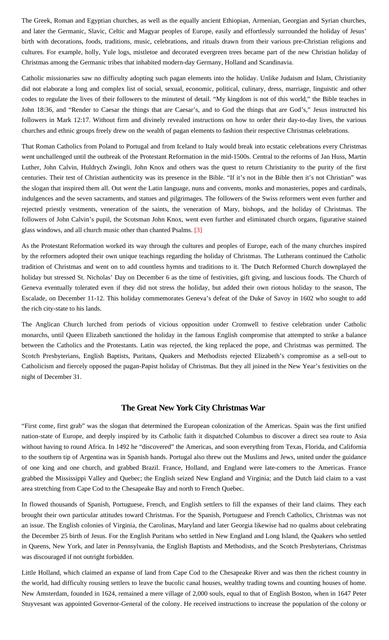The Greek, Roman and Egyptian churches, as well as the equally ancient Ethiopian, Armenian, Georgian and Syrian churches, and later the Germanic, Slavic, Celtic and Magyar peoples of Europe, easily and effortlessly surrounded the holiday of Jesus' birth with decorations, foods, traditions, music, celebrations, and rituals drawn from their various pre-Christian religions and cultures. For example, holly, Yule logs, mistletoe and decorated evergreen trees became part of the new Christian holiday of Christmas among the Germanic tribes that inhabited modern-day Germany, Holland and Scandinavia.

Catholic missionaries saw no difficulty adopting such pagan elements into the holiday. Unlike Judaism and Islam, Christianity did not elaborate a long and complex list of social, sexual, economic, political, culinary, dress, marriage, linguistic and other codes to regulate the lives of their followers to the minutest of detail. "My kingdom is not of this world," the Bible teaches in John 18:36, and "Render to Caesar the things that are Caesar's, and to God the things that are God's," Jesus instructed his followers in Mark 12:17. Without firm and divinely revealed instructions on how to order their day-to-day lives, the various churches and ethnic groups freely drew on the wealth of pagan elements to fashion their respective Christmas celebrations.

That Roman Catholics from Poland to Portugal and from Iceland to Italy would break into ecstatic celebrations every Christmas went unchallenged until the outbreak of the Protestant Reformation in the mid-1500s. Central to the reforms of Jan Huss, Martin Luther, John Calvin, Huldrych Zwingli, John Knox and others was the quest to return Christianity to the purity of the first centuries. Their test of Christian authenticity was its presence in the Bible. "If it's not in the Bible then it's not Christian" was the slogan that inspired them all. Out went the Latin language, nuns and convents, monks and monasteries, popes and cardinals, indulgences and the seven sacraments, and statues and pilgrimages. The followers of the Swiss reformers went even further and rejected priestly vestments, veneration of the saints, the veneration of Mary, bishops, and the holiday of Christmas. The followers of John Calvin's pupil, the Scotsman John Knox, went even further and eliminated church organs, figurative stained glass windows, and all church music other than chanted Psalms. [\[3\]](#page-15-1)

<span id="page-1-0"></span>As the Protestant Reformation worked its way through the cultures and peoples of Europe, each of the many churches inspired by the reformers adopted their own unique teachings regarding the holiday of Christmas. The Lutherans continued the Catholic tradition of Christmas and went on to add countless hymns and traditions to it. The Dutch Reformed Church downplayed the holiday but stressed St. Nicholas' Day on December 6 as the time of festivities, gift giving, and luscious foods. The Church of Geneva eventually tolerated even if they did not stress the holiday, but added their own riotous holiday to the season, The Escalade, on December 11-12. This holiday commemorates Geneva's defeat of the Duke of Savoy in 1602 who sought to add the rich city-state to his lands.

The Anglican Church lurched from periods of vicious opposition under Cromwell to festive celebration under Catholic monarchs, until Queen Elizabeth sanctioned the holiday in the famous English compromise that attempted to strike a balance between the Catholics and the Protestants. Latin was rejected, the king replaced the pope, and Christmas was permitted. The Scotch Presbyterians, English Baptists, Puritans, Quakers and Methodists rejected Elizabeth's compromise as a sell-out to Catholicism and fiercely opposed the pagan-Papist holiday of Christmas. But they all joined in the New Year's festivities on the night of December 31.

## **The Great New York City Christmas War**

"First come, first grab" was the slogan that determined the European colonization of the Americas. Spain was the first unified nation-state of Europe, and deeply inspired by its Catholic faith it dispatched Columbus to discover a direct sea route to Asia without having to round Africa. In 1492 he "discovered" the Americas, and soon everything from Texas, Florida, and California to the southern tip of Argentina was in Spanish hands. Portugal also threw out the Muslims and Jews, united under the guidance of one king and one church, and grabbed Brazil. France, Holland, and England were late-comers to the Americas. France grabbed the Mississippi Valley and Quebec; the English seized New England and Virginia; and the Dutch laid claim to a vast area stretching from Cape Cod to the Chesapeake Bay and north to French Quebec.

In flowed thousands of Spanish, Portuguese, French, and English settlers to fill the expanses of their land claims. They each brought their own particular attitudes toward Christmas. For the Spanish, Portuguese and French Catholics, Christmas was not an issue. The English colonies of Virginia, the Carolinas, Maryland and later Georgia likewise had no qualms about celebrating the December 25 birth of Jesus. For the English Puritans who settled in New England and Long Island, the Quakers who settled in Queens, New York, and later in Pennsylvania, the English Baptists and Methodists, and the Scotch Presbyterians, Christmas was discouraged if not outright forbidden.

Little Holland, which claimed an expanse of land from Cape Cod to the Chesapeake River and was then the richest country in the world, had difficulty rousing settlers to leave the bucolic canal houses, wealthy trading towns and counting houses of home. New Amsterdam, founded in 1624, remained a mere village of 2,000 souls, equal to that of English Boston, when in 1647 Peter Stuyvesant was appointed Governor-General of the colony. He received instructions to increase the population of the colony or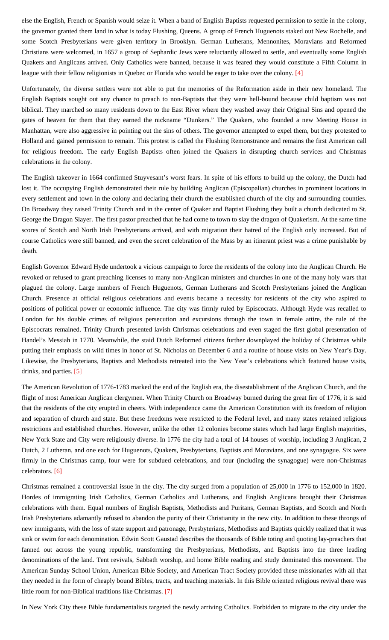else the English, French or Spanish would seize it. When a band of English Baptists requested permission to settle in the colony, the governor granted them land in what is today Flushing, Queens. A group of French Huguenots staked out New Rochelle, and some Scotch Presbyterians were given territory in Brooklyn. German Lutherans, Mennonites, Moravians and Reformed Christians were welcomed, in 1657 a group of Sephardic Jews were reluctantly allowed to settle, and eventually some English Quakers and Anglicans arrived. Only Catholics were banned, because it was feared they would constitute a Fifth Column in league with their fellow religionists in Quebec or Florida who would be eager to take over the colony. [\[4\]](#page-15-2)

<span id="page-2-0"></span>Unfortunately, the diverse settlers were not able to put the memories of the Reformation aside in their new homeland. The English Baptists sought out any chance to preach to non-Baptists that they were hell-bound because child baptism was not biblical. They marched so many residents down to the East River where they washed away their Original Sins and opened the gates of heaven for them that they earned the nickname "Dunkers." The Quakers, who founded a new Meeting House in Manhattan, were also aggressive in pointing out the sins of others. The governor attempted to expel them, but they protested to Holland and gained permission to remain. This protest is called the Flushing Remonstrance and remains the first American call for religious freedom. The early English Baptists often joined the Quakers in disrupting church services and Christmas celebrations in the colony.

The English takeover in 1664 confirmed Stuyvesant's worst fears. In spite of his efforts to build up the colony, the Dutch had lost it. The occupying English demonstrated their rule by building Anglican (Episcopalian) churches in prominent locations in every settlement and town in the colony and declaring their church the established church of the city and surrounding counties. On Broadway they raised Trinity Church and in the center of Quaker and Baptist Flushing they built a church dedicated to St. George the Dragon Slayer. The first pastor preached that he had come to town to slay the dragon of Quakerism. At the same time scores of Scotch and North Irish Presbyterians arrived, and with migration their hatred of the English only increased. But of course Catholics were still banned, and even the secret celebration of the Mass by an itinerant priest was a crime punishable by death.

English Governor Edward Hyde undertook a vicious campaign to force the residents of the colony into the Anglican Church. He revoked or refused to grant preaching licenses to many non-Anglican ministers and churches in one of the many holy wars that plagued the colony. Large numbers of French Huguenots, German Lutherans and Scotch Presbyterians joined the Anglican Church. Presence at official religious celebrations and events became a necessity for residents of the city who aspired to positions of political power or economic influence. The city was firmly ruled by Episcocrats. Although Hyde was recalled to London for his double crimes of religious persecution and excursions through the town in female attire, the rule of the Episcocrats remained. Trinity Church presented lavish Christmas celebrations and even staged the first global presentation of Handel's Messiah in 1770. Meanwhile, the staid Dutch Reformed citizens further downplayed the holiday of Christmas while putting their emphasis on wild times in honor of St. Nicholas on December 6 and a routine of house visits on New Year's Day. Likewise, the Presbyterians, Baptists and Methodists retreated into the New Year's celebrations which featured house visits, drinks, and parties. [\[5\]](#page-15-3)

<span id="page-2-1"></span>The American Revolution of 1776-1783 marked the end of the English era, the disestablishment of the Anglican Church, and the flight of most American Anglican clergymen. When Trinity Church on Broadway burned during the great fire of 1776, it is said that the residents of the city erupted in cheers. With independence came the American Constitution with its freedom of religion and separation of church and state. But these freedoms were restricted to the Federal level, and many states retained religious restrictions and established churches. However, unlike the other 12 colonies become states which had large English majorities, New York State and City were religiously diverse. In 1776 the city had a total of 14 houses of worship, including 3 Anglican, 2 Dutch, 2 Lutheran, and one each for Huguenots, Quakers, Presbyterians, Baptists and Moravians, and one synagogue. Six were firmly in the Christmas camp, four were for subdued celebrations, and four (including the synagogue) were non-Christmas celebrators. [\[6\]](#page-15-4)

<span id="page-2-2"></span>Christmas remained a controversial issue in the city. The city surged from a population of 25,000 in 1776 to 152,000 in 1820. Hordes of immigrating Irish Catholics, German Catholics and Lutherans, and English Anglicans brought their Christmas celebrations with them. Equal numbers of English Baptists, Methodists and Puritans, German Baptists, and Scotch and North Irish Presbyterians adamantly refused to abandon the purity of their Christianity in the new city. In addition to these throngs of new immigrants, with the loss of state support and patronage, Presbyterians, Methodists and Baptists quickly realized that it was sink or swim for each denomination. Edwin Scott Gaustad describes the thousands of Bible toting and quoting lay-preachers that fanned out across the young republic, transforming the Presbyterians, Methodists, and Baptists into the three leading denominations of the land. Tent revivals, Sabbath worship, and home Bible reading and study dominated this movement. The American Sunday School Union, American Bible Society, and American Tract Society provided these missionaries with all that they needed in the form of cheaply bound Bibles, tracts, and teaching materials. In this Bible oriented religious revival there was little room for non-Biblical traditions like Christmas. [\[7\]](#page-15-5)

<span id="page-2-3"></span>In New York City these Bible fundamentalists targeted the newly arriving Catholics. Forbidden to migrate to the city under the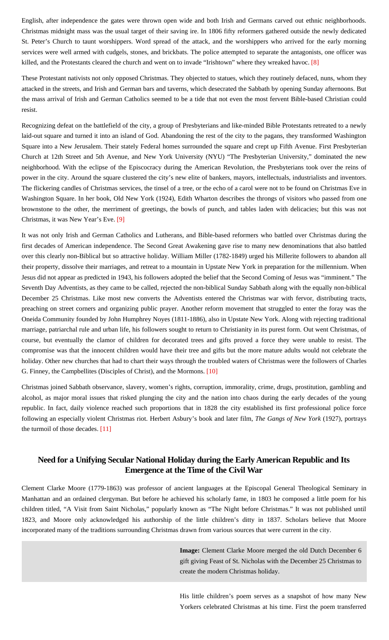English, after independence the gates were thrown open wide and both Irish and Germans carved out ethnic neighborhoods. Christmas midnight mass was the usual target of their saving ire. In 1806 fifty reformers gathered outside the newly dedicated St. Peter's Church to taunt worshippers. Word spread of the attack, and the worshippers who arrived for the early morning services were well armed with cudgels, stones, and brickbats. The police attempted to separate the antagonists, one officer was killed, and the Protestants cleared the church and went on to invade "Irishtown" where they wreaked havoc. [\[8\]](#page-15-6)

<span id="page-3-0"></span>These Protestant nativists not only opposed Christmas. They objected to statues, which they routinely defaced, nuns, whom they attacked in the streets, and Irish and German bars and taverns, which desecrated the Sabbath by opening Sunday afternoons. But the mass arrival of Irish and German Catholics seemed to be a tide that not even the most fervent Bible-based Christian could resist.

Recognizing defeat on the battlefield of the city, a group of Presbyterians and like-minded Bible Protestants retreated to a newly laid-out square and turned it into an island of God. Abandoning the rest of the city to the pagans, they transformed Washington Square into a New Jerusalem. Their stately Federal homes surrounded the square and crept up Fifth Avenue. First Presbyterian Church at 12th Street and 5th Avenue, and New York University (NYU) "The Presbyterian University," dominated the new neighborhood. With the eclipse of the Episcocracy during the American Revolution, the Presbyterians took over the reins of power in the city. Around the square clustered the city's new elite of bankers, mayors, intellectuals, industrialists and inventors. The flickering candles of Christmas services, the tinsel of a tree, or the echo of a carol were not to be found on Christmas Eve in Washington Square. In her book, Old New York (1924), Edith Wharton describes the throngs of visitors who passed from one brownstone to the other, the merriment of greetings, the bowls of punch, and tables laden with delicacies; but this was not Christmas, it was New Year's Eve. [\[9\]](#page-15-7)

<span id="page-3-1"></span>It was not only Irish and German Catholics and Lutherans, and Bible-based reformers who battled over Christmas during the first decades of American independence. The Second Great Awakening gave rise to many new denominations that also battled over this clearly non-Biblical but so attractive holiday. William Miller (1782-1849) urged his Millerite followers to abandon all their property, dissolve their marriages, and retreat to a mountain in Upstate New York in preparation for the millennium. When Jesus did not appear as predicted in 1943, his followers adopted the belief that the Second Coming of Jesus was "imminent." The Seventh Day Adventists, as they came to be called, rejected the non-biblical Sunday Sabbath along with the equally non-biblical December 25 Christmas. Like most new converts the Adventists entered the Christmas war with fervor, distributing tracts, preaching on street corners and organizing public prayer. Another reform movement that struggled to enter the foray was the Oneida Community founded by John Humphrey Noyes (1811-1886), also in Upstate New York. Along with rejecting traditional marriage, patriarchal rule and urban life, his followers sought to return to Christianity in its purest form. Out went Christmas, of course, but eventually the clamor of children for decorated trees and gifts proved a force they were unable to resist. The compromise was that the innocent children would have their tree and gifts but the more mature adults would not celebrate the holiday. Other new churches that had to chart their ways through the troubled waters of Christmas were the followers of Charles G. Finney, the Campbellites (Disciples of Christ), and the Mormons. [\[10\]](#page-15-8)

<span id="page-3-3"></span><span id="page-3-2"></span>Christmas joined Sabbath observance, slavery, women's rights, corruption, immorality, crime, drugs, prostitution, gambling and alcohol, as major moral issues that risked plunging the city and the nation into chaos during the early decades of the young republic. In fact, daily violence reached such proportions that in 1828 the city established its first professional police force following an especially violent Christmas riot. Herbert Asbury's book and later film, *The Gangs of New York* (1927), portrays the turmoil of those decades. [\[11\]](#page-15-9)

# **Need for a Unifying Secular National Holiday during the Early American Republic and Its Emergence at the Time of the Civil War**

Clement Clarke Moore (1779-1863) was professor of ancient languages at the Episcopal General Theological Seminary in Manhattan and an ordained clergyman. But before he achieved his scholarly fame, in 1803 he composed a little poem for his children titled, "A Visit from Saint Nicholas," popularly known as "The Night before Christmas." It was not published until 1823, and Moore only acknowledged his authorship of the little children's ditty in 1837. Scholars believe that Moore incorporated many of the traditions surrounding Christmas drawn from various sources that were current in the city.

> **Image:** Clement Clarke Moore merged the old Dutch December 6 gift giving Feast of St. Nicholas with the December 25 Christmas to create the modern Christmas holiday.

His little children's poem serves as a snapshot of how many New Yorkers celebrated Christmas at his time. First the poem transferred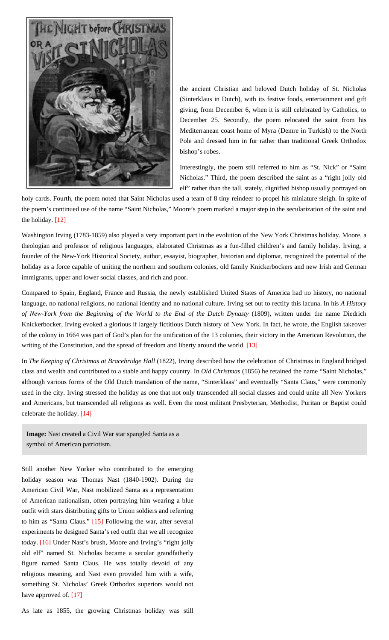

the ancient Christian and beloved Dutch holiday of St. Nicholas (Sinterklaus in Dutch), with its festive foods, entertainment and gift giving, from December 6, when it is still celebrated by Catholics, to December 25. Secondly, the poem relocated the saint from his Mediterranean coast home of Myra (Demre in Turkish) to the North Pole and dressed him in fur rather than traditional Greek Orthodox bishop's robes.

Interestingly, the poem still referred to him as "St. Nick" or "Saint Nicholas." Third, the poem described the saint as a "right jolly old elf" rather than the tall, stately, dignified bishop usually portrayed on

holy cards. Fourth, the poem noted that Saint Nicholas used a team of 8 tiny reindeer to propel his miniature sleigh. In spite of the poem's continued use of the name "Saint Nicholas," Moore's poem marked a major step in the secularization of the saint and the holiday. [\[12\]](#page-15-10)

<span id="page-4-0"></span>Washington Irving (1783-1859) also played a very important part in the evolution of the New York Christmas holiday. Moore, a theologian and professor of religious languages, elaborated Christmas as a fun-filled children's and family holiday. Irving, a founder of the New-York Historical Society, author, essayist, biographer, historian and diplomat, recognized the potential of the holiday as a force capable of uniting the northern and southern colonies, old family Knickerbockers and new Irish and German immigrants, upper and lower social classes, and rich and poor.

Compared to Spain, England, France and Russia, the newly established United States of America had no history, no national language, no national religions, no national identity and no national culture. Irving set out to rectify this lacuna. In his *A History of New-York from the Beginning of the World to the End of the Dutch Dynasty* (1809), written under the name Diedrich Knickerbocker, Irving evoked a glorious if largely fictitious Dutch history of New York. In fact, he wrote, the English takeover of the colony in 1664 was part of God's plan for the unification of the 13 colonies, their victory in the American Revolution, the writing of the Constitution, and the spread of freedom and liberty around the world. [\[13\]](#page-15-11)

<span id="page-4-1"></span>In *The Keeping of Christmas at Bracebridge Hall* (1822), Irving described how the celebration of Christmas in England bridged class and wealth and contributed to a stable and happy country. In *Old Christmas* (1856) he retained the name "Saint Nicholas," although various forms of the Old Dutch translation of the name, "Sinterklaas" and eventually "Santa Claus," were commonly used in the city. Irving stressed the holiday as one that not only transcended all social classes and could unite all New Yorkers and Americans, but transcended all religions as well. Even the most militant Presbyterian, Methodist, Puritan or Baptist could celebrate the holiday. [\[14\]](#page-15-12)

<span id="page-4-2"></span>**Image:** Nast created a Civil War star spangled Santa as a symbol of American patriotism.

Still another New Yorker who contributed to the emerging holiday season was Thomas Nast (1840-1902). During the American Civil War, Nast mobilized Santa as a representation of American nationalism, often portraying him wearing a blue outfit with stars distributing gifts to Union soldiers and referring to him as "Santa Claus." [\[15\]](#page-15-13) Following the war, after several experiments he designed Santa's red outfit that we all recognize today. [\[16\]](#page-15-14) Under Nast's brush, Moore and Irving's "right jolly old elf" named St. Nicholas became a secular grandfatherly figure named Santa Claus. He was totally devoid of any religious meaning, and Nast even provided him with a wife, something St. Nicholas' Greek Orthodox superiors would not have approved of. [\[17\]](#page-15-15)

As late as 1855, the growing Christmas holiday was still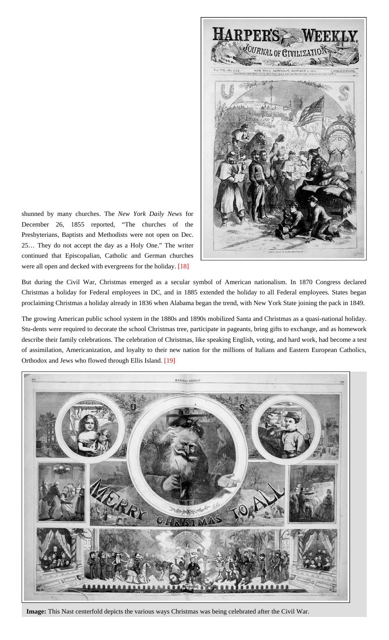

<span id="page-5-2"></span><span id="page-5-1"></span><span id="page-5-0"></span>shunned by many churches. The *New York Daily News* for December 26, 1855 reported, "The churches of the Presbyterians, Baptists and Methodists were not open on Dec. 25… They do not accept the day as a Holy One." The writer continued that Episcopalian, Catholic and German churches were all open and decked with evergreens for the holiday. [\[18\]](#page-15-16)

<span id="page-5-3"></span>But during the Civil War, Christmas emerged as a secular symbol of American nationalism. In 1870 Congress declared Christmas a holiday for Federal employees in DC, and in 1885 extended the holiday to all Federal employees. States began proclaiming Christmas a holiday already in 1836 when Alabama began the trend, with New York State joining the pack in 1849.

The growing American public school system in the 1880s and 1890s mobilized Santa and Christmas as a quasi-national holiday. Stu-dents were required to decorate the school Christmas tree, participate in pageants, bring gifts to exchange, and as homework describe their family celebrations. The celebration of Christmas, like speaking English, voting, and hard work, had become a test of assimilation, Americanization, and loyalty to their new nation for the millions of Italians and Eastern European Catholics, Orthodox and Jews who flowed through Ellis Island. [\[19\]](#page-15-17)

<span id="page-5-4"></span>

**Image:** This Nast centerfold depicts the various ways Christmas was being celebrated after the Civil War.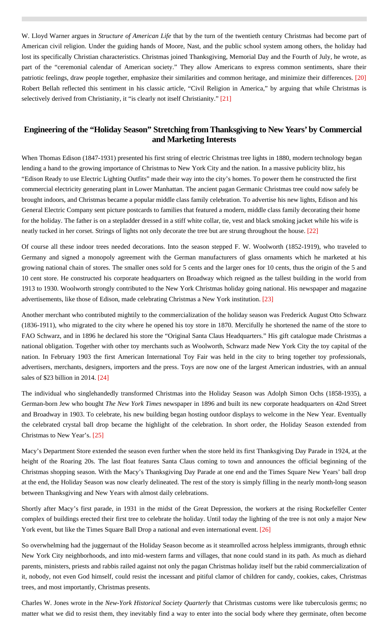<span id="page-6-0"></span>W. Lloyd Warner argues in *Structure of American Life* that by the turn of the twentieth century Christmas had become part of American civil religion. Under the guiding hands of Moore, Nast, and the public school system among others, the holiday had lost its specifically Christian characteristics. Christmas joined Thanksgiving, Memorial Day and the Fourth of July, he wrote, as part of the "ceremonial calendar of American society." They allow Americans to express common sentiments, share their patriotic feelings, draw people together, emphasize their similarities and common heritage, and minimize their differences. [\[20\]](#page-15-18) Robert Bellah reflected this sentiment in his classic article, "Civil Religion in America," by arguing that while Christmas is selectively derived from Christianity, it "is clearly not itself Christianity." [\[21\]](#page-15-19)

# <span id="page-6-1"></span>**Engineering of the "Holiday Season" Stretching from Thanksgiving to New Years' by Commercial and Marketing Interests**

When Thomas Edison (1847-1931) presented his first string of electric Christmas tree lights in 1880, modern technology began lending a hand to the growing importance of Christmas to New York City and the nation. In a massive publicity blitz, his "Edison Ready to use Electric Lighting Outfits" made their way into the city's homes. To power them he constructed the first commercial electricity generating plant in Lower Manhattan. The ancient pagan Germanic Christmas tree could now safely be brought indoors, and Christmas became a popular middle class family celebration. To advertise his new lights, Edison and his General Electric Company sent picture postcards to families that featured a modern, middle class family decorating their home for the holiday. The father is on a stepladder dressed in a stiff white collar, tie, vest and black smoking jacket while his wife is neatly tucked in her corset. Strings of lights not only decorate the tree but are strung throughout the house. [\[22\]](#page-15-20)

<span id="page-6-2"></span>Of course all these indoor trees needed decorations. Into the season stepped F. W. Woolworth (1852-1919), who traveled to Germany and signed a monopoly agreement with the German manufacturers of glass ornaments which he marketed at his growing national chain of stores. The smaller ones sold for 5 cents and the larger ones for 10 cents, thus the origin of the 5 and 10 cent store. He constructed his corporate headquarters on Broadway which reigned as the tallest building in the world from 1913 to 1930. Woolworth strongly contributed to the New York Christmas holiday going national. His newspaper and magazine advertisements, like those of Edison, made celebrating Christmas a New York institution. [\[23\]](#page-15-21)

<span id="page-6-3"></span>Another merchant who contributed mightily to the commercialization of the holiday season was Frederick August Otto Schwarz (1836-1911), who migrated to the city where he opened his toy store in 1870. Mercifully he shortened the name of the store to FAO Schwarz, and in 1896 he declared his store the "Original Santa Claus Headquarters." His gift catalogue made Christmas a national obligation. Together with other toy merchants such as Woolworth, Schwarz made New York City the toy capital of the nation. In February 1903 the first American International Toy Fair was held in the city to bring together toy professionals, advertisers, merchants, designers, importers and the press. Toys are now one of the largest American industries, with an annual sales of \$23 billion in 2014. [\[24\]](#page-15-22)

<span id="page-6-4"></span>The individual who singlehandedly transformed Christmas into the Holiday Season was Adolph Simon Ochs (1858-1935), a German-born Jew who bought *The New York Times* newspaper in 1896 and built its new corporate headquarters on 42nd Street and Broadway in 1903. To celebrate, his new building began hosting outdoor displays to welcome in the New Year. Eventually the celebrated crystal ball drop became the highlight of the celebration. In short order, the Holiday Season extended from Christmas to New Year's. [\[25\]](#page-15-23)

<span id="page-6-5"></span>Macy's Department Store extended the season even further when the store held its first Thanksgiving Day Parade in 1924, at the height of the Roaring 20s. The last float features Santa Claus coming to town and announces the official beginning of the Christmas shopping season. With the Macy's Thanksgiving Day Parade at one end and the Times Square New Years' ball drop at the end, the Holiday Season was now clearly delineated. The rest of the story is simply filling in the nearly month-long season between Thanksgiving and New Years with almost daily celebrations.

Shortly after Macy's first parade, in 1931 in the midst of the Great Depression, the workers at the rising Rockefeller Center complex of buildings erected their first tree to celebrate the holiday. Until today the lighting of the tree is not only a major New York event, but like the Times Square Ball Drop a national and even international event. [\[26\]](#page-15-24)

<span id="page-6-6"></span>So overwhelming had the juggernaut of the Holiday Season become as it steamrolled across helpless immigrants, through ethnic New York City neighborhoods, and into mid-western farms and villages, that none could stand in its path. As much as diehard parents, ministers, priests and rabbis railed against not only the pagan Christmas holiday itself but the rabid commercialization of it, nobody, not even God himself, could resist the incessant and pitiful clamor of children for candy, cookies, cakes, Christmas trees, and most importantly, Christmas presents.

Charles W. Jones wrote in the *New-York Historical Society Quarterly* that Christmas customs were like tuberculosis germs; no matter what we did to resist them, they inevitably find a way to enter into the social body where they germinate, often become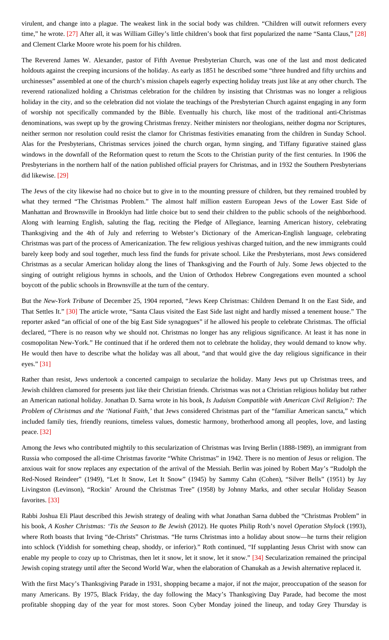<span id="page-7-0"></span>virulent, and change into a plague. The weakest link in the social body was children. "Children will outwit reformers every time," he wrote. [\[27\]](#page-15-25) After all, it was William Gilley's little children's book that first popularized the name "Santa Claus," [\[28\]](#page-15-26) and Clement Clarke Moore wrote his poem for his children.

The Reverend James W. Alexander, pastor of Fifth Avenue Presbyterian Church, was one of the last and most dedicated holdouts against the creeping incursions of the holiday. As early as 1851 he described some "three hundred and fifty urchins and urchinesses" assembled at one of the church's mission chapels eagerly expecting holiday treats just like at any other church. The reverend rationalized holding a Christmas celebration for the children by insisting that Christmas was no longer a religious holiday in the city, and so the celebration did not violate the teachings of the Presbyterian Church against engaging in any form of worship not specifically commanded by the Bible. Eventually his church, like most of the traditional anti-Christmas denominations, was swept up by the growing Christmas frenzy. Neither ministers nor theologians, neither dogma nor Scriptures, neither sermon nor resolution could resist the clamor for Christmas festivities emanating from the children in Sunday School. Alas for the Presbyterians, Christmas services joined the church organ, hymn singing, and Tiffany figurative stained glass windows in the downfall of the Reformation quest to return the Scots to the Christian purity of the first centuries. In 1906 the Presbyterians in the northern half of the nation published official prayers for Christmas, and in 1932 the Southern Presbyterians did likewise. [\[29\]](#page-15-27)

<span id="page-7-1"></span>The Jews of the city likewise had no choice but to give in to the mounting pressure of children, but they remained troubled by what they termed "The Christmas Problem." The almost half million eastern European Jews of the Lower East Side of Manhattan and Brownsville in Brooklyn had little choice but to send their children to the public schools of the neighborhood. Along with learning English, saluting the flag, reciting the Pledge of Allegiance, learning American history, celebrating Thanksgiving and the 4th of July and referring to Webster's Dictionary of the American-English language, celebrating Christmas was part of the process of Americanization. The few religious yeshivas charged tuition, and the new immigrants could barely keep body and soul together, much less find the funds for private school. Like the Presbyterians, most Jews considered Christmas as a secular American holiday along the lines of Thanksgiving and the Fourth of July. Some Jews objected to the singing of outright religious hymns in schools, and the Union of Orthodox Hebrew Congregations even mounted a school boycott of the public schools in Brownsville at the turn of the century.

<span id="page-7-2"></span>But the *New-York Tribune* of December 25, 1904 reported, "Jews Keep Christmas: Children Demand It on the East Side, and That Settles It." [\[30\]](#page-16-0) The article wrote, "Santa Claus visited the East Side last night and hardly missed a tenement house." The reporter asked "an official of one of the big East Side synagogues" if he allowed his people to celebrate Christmas. The official declared, "There is no reason why we should not. Christmas no longer has any religious significance. At least it has none in cosmopolitan New-York." He continued that if he ordered them not to celebrate the holiday, they would demand to know why. He would then have to describe what the holiday was all about, "and that would give the day religious significance in their eyes." [\[31\]](#page-16-1)

<span id="page-7-3"></span>Rather than resist, Jews undertook a concerted campaign to secularize the holiday. Many Jews put up Christmas trees, and Jewish children clamored for presents just like their Christian friends. Christmas was not a Christian religious holiday but rather an American national holiday. Jonathan D. Sarna wrote in his book, *Is Judaism Compatible with American Civil Religion?: The Problem of Christmas and the 'National Faith,'* that Jews considered Christmas part of the "familiar American sancta," which included family ties, friendly reunions, timeless values, domestic harmony, brotherhood among all peoples, love, and lasting peace. [\[32\]](#page-16-2)

<span id="page-7-4"></span>Among the Jews who contributed mightily to this secularization of Christmas was Irving Berlin (1888-1989), an immigrant from Russia who composed the all-time Christmas favorite "White Christmas" in 1942. There is no mention of Jesus or religion. The anxious wait for snow replaces any expectation of the arrival of the Messiah. Berlin was joined by Robert May's "Rudolph the Red-Nosed Reindeer" (1949), "Let It Snow, Let It Snow" (1945) by Sammy Cahn (Cohen), "Silver Bells" (1951) by Jay Livingston (Levinson), "Rockin' Around the Christmas Tree" (1958) by Johnny Marks, and other secular Holiday Season favorites. [\[33\]](#page-16-3)

<span id="page-7-5"></span>Rabbi Joshua Eli Plaut described this Jewish strategy of dealing with what Jonathan Sarna dubbed the "Christmas Problem" in his book, *A Kosher Christmas: 'Tis the Season to Be Jewish* (2012). He quotes Philip Roth's novel *Operation Shylock* (1993), where Roth boasts that Irving "de-Christs" Christmas. "He turns Christmas into a holiday about snow—he turns their religion into schlock (Yiddish for something cheap, shoddy, or inferior)." Roth continued, "If supplanting Jesus Christ with snow can enable my people to cozy up to Christmas, then let it snow, let it snow, let it snow." [\[34\]](#page-16-4) Secularization remained the principal Jewish coping strategy until after the Second World War, when the elaboration of Chanukah as a Jewish alternative replaced it.

<span id="page-7-6"></span>With the first Macy's Thanksgiving Parade in 1931, shopping became a major, if not *the* major, preoccupation of the season for many Americans. By 1975, Black Friday, the day following the Macy's Thanksgiving Day Parade, had become the most profitable shopping day of the year for most stores. Soon Cyber Monday joined the lineup, and today Grey Thursday is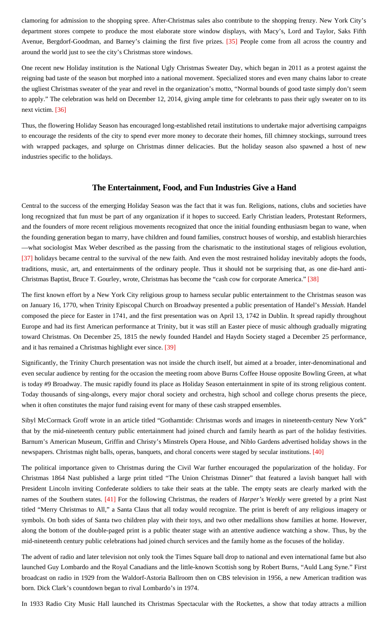<span id="page-8-0"></span>clamoring for admission to the shopping spree. After-Christmas sales also contribute to the shopping frenzy. New York City's department stores compete to produce the most elaborate store window displays, with Macy's, Lord and Taylor, Saks Fifth Avenue, Bergdorf-Goodman, and Barney's claiming the first five prizes. [\[35\]](#page-16-5) People come from all across the country and around the world just to see the city's Christmas store windows.

One recent new Holiday institution is the National Ugly Christmas Sweater Day, which began in 2011 as a protest against the reigning bad taste of the season but morphed into a national movement. Specialized stores and even many chains labor to create the ugliest Christmas sweater of the year and revel in the organization's motto, "Normal bounds of good taste simply don't seem to apply." The celebration was held on December 12, 2014, giving ample time for celebrants to pass their ugly sweater on to its next victim. [\[36\]](#page-16-6)

<span id="page-8-1"></span>Thus, the flowering Holiday Season has encouraged long-established retail institutions to undertake major advertising campaigns to encourage the residents of the city to spend ever more money to decorate their homes, fill chimney stockings, surround trees with wrapped packages, and splurge on Christmas dinner delicacies. But the holiday season also spawned a host of new industries specific to the holidays.

## **The Entertainment, Food, and Fun Industries Give a Hand**

Central to the success of the emerging Holiday Season was the fact that it was fun. Religions, nations, clubs and societies have long recognized that fun must be part of any organization if it hopes to succeed. Early Christian leaders, Protestant Reformers, and the founders of more recent religious movements recognized that once the initial founding enthusiasm began to wane, when the founding generation began to marry, have children and found families, construct houses of worship, and establish hierarchies —what sociologist Max Weber described as the passing from the charismatic to the institutional stages of religious evolution, [\[37\]](#page-16-7) holidays became central to the survival of the new faith. And even the most restrained holiday inevitably adopts the foods, traditions, music, art, and entertainments of the ordinary people. Thus it should not be surprising that, as one die-hard anti-Christmas Baptist, Bruce T. Gourley, wrote, Christmas has become the "cash cow for corporate America." [\[38\]](#page-16-8)

<span id="page-8-3"></span><span id="page-8-2"></span>The first known effort by a New York City religious group to harness secular public entertainment to the Christmas season was on January 16, 1770, when Trinity Episcopal Church on Broadway presented a public presentation of Handel's *Messiah*. Handel composed the piece for Easter in 1741, and the first presentation was on April 13, 1742 in Dublin. It spread rapidly throughout Europe and had its first American performance at Trinity, but it was still an Easter piece of music although gradually migrating toward Christmas. On December 25, 1815 the newly founded Handel and Haydn Society staged a December 25 performance, and it has remained a Christmas highlight ever since. [\[39\]](#page-16-9)

<span id="page-8-4"></span>Significantly, the Trinity Church presentation was not inside the church itself, but aimed at a broader, inter-denominational and even secular audience by renting for the occasion the meeting room above Burns Coffee House opposite Bowling Green, at what is today #9 Broadway. The music rapidly found its place as Holiday Season entertainment in spite of its strong religious content. Today thousands of sing-alongs, every major choral society and orchestra, high school and college chorus presents the piece, when it often constitutes the major fund raising event for many of these cash strapped ensembles.

Sibyl McCormack Groff wrote in an article titled "Gothamtide: Christmas words and images in nineteenth-century New York" that by the mid-nineteenth century public entertainment had joined church and family hearth as part of the holiday festivities. Barnum's American Museum, Griffin and Christy's Minstrels Opera House, and Niblo Gardens advertised holiday shows in the newspapers. Christmas night balls, operas, banquets, and choral concerts were staged by secular institutions. [\[40\]](#page-16-10)

<span id="page-8-6"></span><span id="page-8-5"></span>The political importance given to Christmas during the Civil War further encouraged the popularization of the holiday. For Christmas 1864 Nast published a large print titled "The Union Christmas Dinner" that featured a lavish banquet hall with President Lincoln inviting Confederate soldiers to take their seats at the table. The empty seats are clearly marked with the names of the Southern states. [\[41\]](#page-16-11) For the following Christmas, the readers of *Harper's Weekly* were greeted by a print Nast titled "Merry Christmas to All," a Santa Claus that all today would recognize. The print is bereft of any religious imagery or symbols. On both sides of Santa two children play with their toys, and two other medallions show families at home. However, along the bottom of the double-paged print is a public theater stage with an attentive audience watching a show. Thus, by the mid-nineteenth century public celebrations had joined church services and the family home as the focuses of the holiday.

The advent of radio and later television not only took the Times Square ball drop to national and even international fame but also launched Guy Lombardo and the Royal Canadians and the little-known Scottish song by Robert Burns, "Auld Lang Syne." First broadcast on radio in 1929 from the Waldorf-Astoria Ballroom then on CBS television in 1956, a new American tradition was born. Dick Clark's countdown began to rival Lombardo's in 1974.

In 1933 Radio City Music Hall launched its Christmas Spectacular with the Rockettes, a show that today attracts a million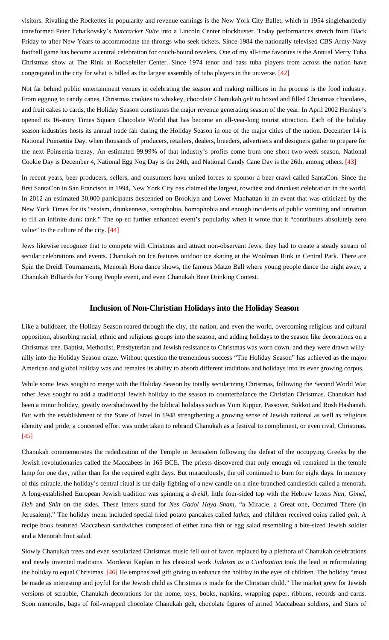visitors. Rivaling the Rockettes in popularity and revenue earnings is the New York City Ballet, which in 1954 singlehandedly transformed Peter Tchaikovsky's *Nutcracker Suite* into a Lincoln Center blockbuster. Today performances stretch from Black Friday to after New Years to accommodate the throngs who seek tickets. Since 1984 the nationally televised CBS Army-Navy football game has become a central celebration for couch-bound revelers. One of my all-time favorites is the Annual Merry Tuba Christmas show at The Rink at Rockefeller Center. Since 1974 tenor and bass tuba players from across the nation have congregated in the city for what is billed as the largest assembly of tuba players in the universe. [\[42\]](#page-16-12)

<span id="page-9-0"></span>Not far behind public entertainment venues in celebrating the season and making millions in the process is the food industry. From eggnog to candy canes, Christmas cookies to whiskey, chocolate Chanukah *gelt* to boxed and filled Christmas chocolates, and fruit cakes to cards, the Holiday Season constitutes the major revenue generating season of the year. In April 2002 Hershey's opened its 16-story Times Square Chocolate World that has become an all-year-long tourist attraction. Each of the holiday season industries hosts its annual trade fair during the Holiday Season in one of the major cities of the nation. December 14 is National Poinsettia Day, when thousands of producers, retailers, dealers, breeders, advertisers and designers gather to prepare for the next Poinsettia frenzy. An estimated 99.99% of that industry's profits come from one short two-week season. National Cookie Day is December 4, National Egg Nog Day is the 24th, and National Candy Cane Day is the 26th, among others. [\[43\]](#page-16-13)

<span id="page-9-1"></span>In recent years, beer producers, sellers, and consumers have united forces to sponsor a beer crawl called SantaCon. Since the first SantaCon in San Francisco in 1994, New York City has claimed the largest, rowdiest and drunkest celebration in the world. In 2012 an estimated 30,000 participants descended on Brooklyn and Lower Manhattan in an event that was criticized by the New York Times for its "sexism, drunkenness, xenophobia, homophobia and enough incidents of public vomiting and urination to fill an infinite dunk tank." The op-ed further enhanced event's popularity when it wrote that it "contributes absolutely zero value" to the culture of the city. [\[44\]](#page-16-14)

<span id="page-9-2"></span>Jews likewise recognize that to compete with Christmas and attract non-observant Jews, they had to create a steady stream of secular celebrations and events. Chanukah on Ice features outdoor ice skating at the Woolman Rink in Central Park. There are Spin the Dreidl Tournaments, Menorah Hora dance shows, the famous Matzo Ball where young people dance the night away, a Chanukah Billiards for Young People event, and even Chanukah Beer Drinking Contest.

#### **Inclusion of Non-Christian Holidays into the Holiday Season**

Like a bulldozer, the Holiday Season roared through the city, the nation, and even the world, overcoming religious and cultural opposition, absorbing racial, ethnic and religious groups into the season, and adding holidays to the season like decorations on a Christmas tree. Baptist, Methodist, Presbyterian and Jewish resistance to Christmas was worn down, and they were drawn willynilly into the Holiday Season craze. Without question the tremendous success "The Holiday Season" has achieved as the major American and global holiday was and remains its ability to absorb different traditions and holidays into its ever growing corpus.

While some Jews sought to merge with the Holiday Season by totally secularizing Christmas, following the Second World War other Jews sought to add a traditional Jewish holiday to the season to counterbalance the Christian Christmas. Chanukah had been a minor holiday, greatly overshadowed by the biblical holidays such as Yom Kippur, Passover, Sukkot and Rosh Hashanah. But with the establishment of the State of Israel in 1948 strengthening a growing sense of Jewish national as well as religious identity and pride, a concerted effort was undertaken to rebrand Chanukah as a festival to compliment, or even rival, Christmas. [\[45\]](#page-16-15)

<span id="page-9-3"></span>Chanukah commemorates the rededication of the Temple in Jerusalem following the defeat of the occupying Greeks by the Jewish revolutionaries called the Maccabees in 165 BCE. The priests discovered that only enough oil remained in the temple lamp for one day, rather than for the required eight days. But miraculously, the oil continued to burn for eight days. In memory of this miracle, the holiday's central ritual is the daily lighting of a new candle on a nine-branched candlestick called a menorah. A long-established European Jewish tradition was spinning a *dreidl*, little four-sided top with the Hebrew letters *Nun, Gimel, Heh* and *Shin* on the sides. These letters stand for *Nes Gadol Haya Sham*, "a Miracle, a Great one, Occurred There (in Jerusalem)." The holiday menu included special fried potato pancakes called *latkes*, and children received coins called *gelt*. A recipe book featured Maccabean sandwiches composed of either tuna fish or egg salad resembling a bite-sized Jewish soldier and a Menorah fruit salad.

<span id="page-9-4"></span>Slowly Chanukah trees and even secularized Christmas music fell out of favor, replaced by a plethora of Chanukah celebrations and newly invented traditions. Mordecai Kaplan in his classical work *Judaism as a Civilization* took the lead in reformulating the holiday to equal Christmas. [\[46\]](#page-16-16) He emphasized gift giving to enhance the holiday in the eyes of children. The holiday "must be made as interesting and joyful for the Jewish child as Christmas is made for the Christian child." The market grew for Jewish versions of scrabble, Chanukah decorations for the home, toys, books, napkins, wrapping paper, ribbons, records and cards. Soon menorahs, bags of foil-wrapped chocolate Chanukah gelt, chocolate figures of armed Maccabean soldiers, and Stars of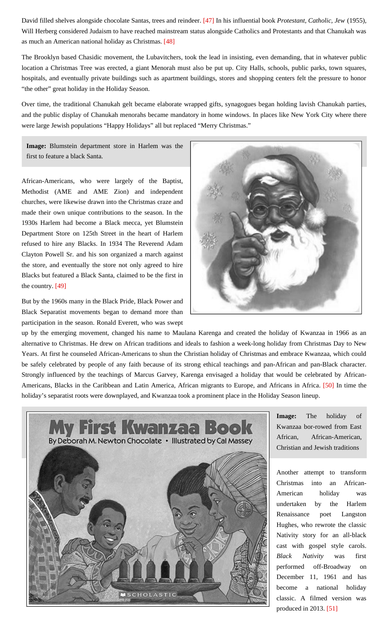<span id="page-10-0"></span>David filled shelves alongside chocolate Santas, trees and reindeer. [\[47\]](#page-16-17) In his influential book *Protestant, Catholic, Jew* (1955), Will Herberg considered Judaism to have reached mainstream status alongside Catholics and Protestants and that Chanukah was as much an American national holiday as Christmas. [\[48\]](#page-16-18)

<span id="page-10-1"></span>The Brooklyn based Chasidic movement, the Lubavitchers, took the lead in insisting, even demanding, that in whatever public location a Christmas Tree was erected, a giant Menorah must also be put up. City Halls, schools, public parks, town squares, hospitals, and eventually private buildings such as apartment buildings, stores and shopping centers felt the pressure to honor "the other" great holiday in the Holiday Season.

Over time, the traditional Chanukah gelt became elaborate wrapped gifts, synagogues began holding lavish Chanukah parties, and the public display of Chanukah menorahs became mandatory in home windows. In places like New York City where there were large Jewish populations "Happy Holidays" all but replaced "Merry Christmas."

**Image:** Blumstein department store in Harlem was the first to feature a black Santa.

African-Americans, who were largely of the Baptist, Methodist (AME and AME Zion) and independent churches, were likewise drawn into the Christmas craze and made their own unique contributions to the season. In the 1930s Harlem had become a Black mecca, yet Blumstein Department Store on 125th Street in the heart of Harlem refused to hire any Blacks. In 1934 The Reverend Adam Clayton Powell Sr. and his son organized a march against the store, and eventually the store not only agreed to hire Blacks but featured a Black Santa, claimed to be the first in the country. [\[49\]](#page-16-19)

<span id="page-10-2"></span>But by the 1960s many in the Black Pride, Black Power and Black Separatist movements began to demand more than participation in the season. Ronald Everett, who was swept



up by the emerging movement, changed his name to Maulana Karenga and created the holiday of Kwanzaa in 1966 as an alternative to Christmas. He drew on African traditions and ideals to fashion a week-long holiday from Christmas Day to New Years. At first he counseled African-Americans to shun the Christian holiday of Christmas and embrace Kwanzaa, which could be safely celebrated by people of any faith because of its strong ethical teachings and pan-African and pan-Black character. Strongly influenced by the teachings of Marcus Garvey, Karenga envisaged a holiday that would be celebrated by African-Americans, Blacks in the Caribbean and Latin America, African migrants to Europe, and Africans in Africa. [\[50\]](#page-16-20) In time the holiday's separatist roots were downplayed, and Kwanzaa took a prominent place in the Holiday Season lineup.

<span id="page-10-4"></span><span id="page-10-3"></span>

**Image:** The holiday of Kwanzaa bor-rowed from East African, African-American, Christian and Jewish traditions

Another attempt to transform Christmas into an African-American holiday was undertaken by the Harlem Renaissance poet Langston Hughes, who rewrote the classic Nativity story for an all-black cast with gospel style carols. *Black Nativity* was first performed off-Broadway on December 11, 1961 and has become a national holiday classic. A filmed version was produced in 2013. [\[51\]](#page-16-21)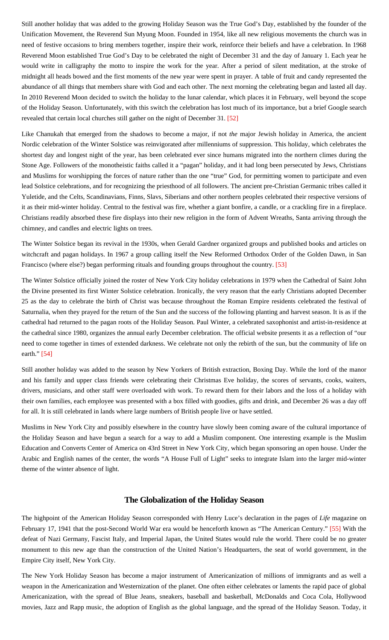Still another holiday that was added to the growing Holiday Season was the True God's Day, established by the founder of the Unification Movement, the Reverend Sun Myung Moon. Founded in 1954, like all new religious movements the church was in need of festive occasions to bring members together, inspire their work, reinforce their beliefs and have a celebration. In 1968 Reverend Moon established True God's Day to be celebrated the night of December 31 and the day of January 1. Each year he would write in calligraphy the motto to inspire the work for the year. After a period of silent meditation, at the stroke of midnight all heads bowed and the first moments of the new year were spent in prayer. A table of fruit and candy represented the abundance of all things that members share with God and each other. The next morning the celebrating began and lasted all day. In 2010 Reverend Moon decided to switch the holiday to the lunar calendar, which places it in February, well beyond the scope of the Holiday Season. Unfortunately, with this switch the celebration has lost much of its importance, but a brief Google search revealed that certain local churches still gather on the night of December 31. [\[52\]](#page-16-22)

<span id="page-11-0"></span>Like Chanukah that emerged from the shadows to become a major, if not *the* major Jewish holiday in America, the ancient Nordic celebration of the Winter Solstice was reinvigorated after millenniums of suppression. This holiday, which celebrates the shortest day and longest night of the year, has been celebrated ever since humans migrated into the northern climes during the Stone Age. Followers of the monotheistic faiths called it a "pagan" holiday, and it had long been persecuted by Jews, Christians and Muslims for worshipping the forces of nature rather than the one "true" God, for permitting women to participate and even lead Solstice celebrations, and for recognizing the priesthood of all followers. The ancient pre-Christian Germanic tribes called it Yuletide, and the Celts, Scandinavians, Finns, Slavs, Siberians and other northern peoples celebrated their respective versions of it as their mid-winter holiday. Central to the festival was fire, whether a giant bonfire, a candle, or a crackling fire in a fireplace. Christians readily absorbed these fire displays into their new religion in the form of Advent Wreaths, Santa arriving through the chimney, and candles and electric lights on trees.

The Winter Solstice began its revival in the 1930s, when Gerald Gardner organized groups and published books and articles on witchcraft and pagan holidays. In 1967 a group calling itself the New Reformed Orthodox Order of the Golden Dawn, in San Francisco (where else?) began performing rituals and founding groups throughout the country. [\[53\]](#page-16-23)

<span id="page-11-1"></span>The Winter Solstice officially joined the roster of New York City holiday celebrations in 1979 when the Cathedral of Saint John the Divine presented its first Winter Solstice celebration. Ironically, the very reason that the early Christians adopted December 25 as the day to celebrate the birth of Christ was because throughout the Roman Empire residents celebrated the festival of Saturnalia, when they prayed for the return of the Sun and the success of the following planting and harvest season. It is as if the cathedral had returned to the pagan roots of the Holiday Season. Paul Winter, a celebrated saxophonist and artist-in-residence at the cathedral since 1980, organizes the annual early December celebration. The official website presents it as a reflection of "our need to come together in times of extended darkness. We celebrate not only the rebirth of the sun, but the community of life on earth." [\[54\]](#page-16-24)

<span id="page-11-2"></span>Still another holiday was added to the season by New Yorkers of British extraction, Boxing Day. While the lord of the manor and his family and upper class friends were celebrating their Christmas Eve holiday, the scores of servants, cooks, waiters, drivers, musicians, and other staff were overloaded with work. To reward them for their labors and the loss of a holiday with their own families, each employee was presented with a box filled with goodies, gifts and drink, and December 26 was a day off for all. It is still celebrated in lands where large numbers of British people live or have settled.

Muslims in New York City and possibly elsewhere in the country have slowly been coming aware of the cultural importance of the Holiday Season and have begun a search for a way to add a Muslim component. One interesting example is the Muslim Education and Converts Center of America on 43rd Street in New York City, which began sponsoring an open house. Under the Arabic and English names of the center, the words "A House Full of Light" seeks to integrate Islam into the larger mid-winter theme of the winter absence of light.

# **The Globalization of the Holiday Season**

<span id="page-11-3"></span>The highpoint of the American Holiday Season corresponded with Henry Luce's declaration in the pages of *Life* magazine on February 17, 1941 that the post-Second World War era would be henceforth known as "The American Century." [\[55\]](#page-16-25) With the defeat of Nazi Germany, Fascist Italy, and Imperial Japan, the United States would rule the world. There could be no greater monument to this new age than the construction of the United Nation's Headquarters, the seat of world government, in the Empire City itself, New York City.

The New York Holiday Season has become a major instrument of Americanization of millions of immigrants and as well a weapon in the Americanization and Westernization of the planet. One often either celebrates or laments the rapid pace of global Americanization, with the spread of Blue Jeans, sneakers, baseball and basketball, McDonalds and Coca Cola, Hollywood movies, Jazz and Rapp music, the adoption of English as the global language, and the spread of the Holiday Season. Today, it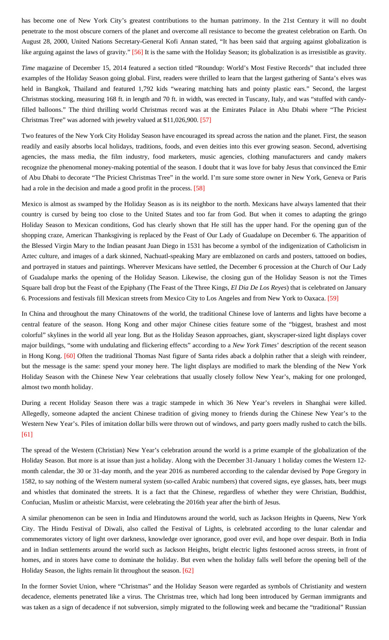has become one of New York City's greatest contributions to the human patrimony. In the 21st Century it will no doubt penetrate to the most obscure corners of the planet and overcome all resistance to become the greatest celebration on Earth. On August 28, 2000, United Nations Secretary-General Kofi Annan stated, "It has been said that arguing against globalization is like arguing against the laws of gravity." [\[56\]](#page-17-0) It is the same with the Holiday Season; its globalization is as irresistible as gravity.

<span id="page-12-0"></span>*Time* magazine of December 15, 2014 featured a section titled "Roundup: World's Most Festive Records" that included three examples of the Holiday Season going global. First, readers were thrilled to learn that the largest gathering of Santa's elves was held in Bangkok, Thailand and featured 1,792 kids "wearing matching hats and pointy plastic ears." Second, the largest Christmas stocking, measuring 168 ft. in length and 70 ft. in width, was erected in Tuscany, Italy, and was "stuffed with candyfilled balloons." The third thrilling world Christmas record was at the Emirates Palace in Abu Dhabi where "The Priciest Christmas Tree" was adorned with jewelry valued at \$11,026,900. [\[57\]](#page-17-1)

<span id="page-12-1"></span>Two features of the New York City Holiday Season have encouraged its spread across the nation and the planet. First, the season readily and easily absorbs local holidays, traditions, foods, and even deities into this ever growing season. Second, advertising agencies, the mass media, the film industry, food marketers, music agencies, clothing manufacturers and candy makers recognize the phenomenal money-making potential of the season. I doubt that it was love for baby Jesus that convinced the Emir of Abu Dhabi to decorate "The Priciest Christmas Tree" in the world. I'm sure some store owner in New York, Geneva or Paris had a role in the decision and made a good profit in the process. [\[58\]](#page-17-2)

<span id="page-12-2"></span>Mexico is almost as swamped by the Holiday Season as is its neighbor to the north. Mexicans have always lamented that their country is cursed by being too close to the United States and too far from God. But when it comes to adapting the gringo Holiday Season to Mexican conditions, God has clearly shown that He still has the upper hand. For the opening gun of the shopping craze, American Thanksgiving is replaced by the Feast of Our Lady of Guadalupe on December 6. The apparition of the Blessed Virgin Mary to the Indian peasant Juan Diego in 1531 has become a symbol of the indigenization of Catholicism in Aztec culture, and images of a dark skinned, Nachuatl-speaking Mary are emblazoned on cards and posters, tattooed on bodies, and portrayed in statues and paintings. Wherever Mexicans have settled, the December 6 procession at the Church of Our Lady of Guadalupe marks the opening of the Holiday Season. Likewise, the closing gun of the Holiday Season is not the Times Square ball drop but the Feast of the Epiphany (The Feast of the Three Kings, *El Dia De Los Reyes*) that is celebrated on January 6. Processions and festivals fill Mexican streets from Mexico City to Los Angeles and from New York to Oaxaca. [\[59\]](#page-17-3)

<span id="page-12-4"></span><span id="page-12-3"></span>In China and throughout the many Chinatowns of the world, the traditional Chinese love of lanterns and lights have become a central feature of the season. Hong Kong and other major Chinese cities feature some of the "biggest, brashest and most colorful" skylines in the world all year long. But as the Holiday Season approaches, giant, skyscraper-sized light displays cover major buildings, "some with undulating and flickering effects" according to a *New York Times*' description of the recent season in Hong Kong. [\[60\]](#page-17-4) Often the traditional Thomas Nast figure of Santa rides aback a dolphin rather that a sleigh with reindeer, but the message is the same: spend your money here. The light displays are modified to mark the blending of the New York Holiday Season with the Chinese New Year celebrations that usually closely follow New Year's, making for one prolonged, almost two month holiday.

During a recent Holiday Season there was a tragic stampede in which 36 New Year's revelers in Shanghai were killed. Allegedly, someone adapted the ancient Chinese tradition of giving money to friends during the Chinese New Year's to the Western New Year's. Piles of imitation dollar bills were thrown out of windows, and party goers madly rushed to catch the bills. [\[61\]](#page-17-5)

<span id="page-12-5"></span>The spread of the Western (Christian) New Year's celebration around the world is a prime example of the globalization of the Holiday Season. But more is at issue than just a holiday. Along with the December 31-January 1 holiday comes the Western 12 month calendar, the 30 or 31-day month, and the year 2016 as numbered according to the calendar devised by Pope Gregory in 1582, to say nothing of the Western numeral system (so-called Arabic numbers) that covered signs, eye glasses, hats, beer mugs and whistles that dominated the streets. It is a fact that the Chinese, regardless of whether they were Christian, Buddhist, Confucian, Muslim or atheistic Marxist, were celebrating the 2016th year after the birth of Jesus.

A similar phenomenon can be seen in India and Hindutowns around the world, such as Jackson Heights in Queens, New York City. The Hindu Festival of Diwali, also called the Festival of Lights, is celebrated according to the lunar calendar and commemorates victory of light over darkness, knowledge over ignorance, good over evil, and hope over despair. Both in India and in Indian settlements around the world such as Jackson Heights, bright electric lights festooned across streets, in front of homes, and in stores have come to dominate the holiday. But even when the holiday falls well before the opening bell of the Holiday Season, the lights remain lit throughout the season. [\[62\]](#page-17-6)

<span id="page-12-6"></span>In the former Soviet Union, where "Christmas" and the Holiday Season were regarded as symbols of Christianity and western decadence, elements penetrated like a virus. The Christmas tree, which had long been introduced by German immigrants and was taken as a sign of decadence if not subversion, simply migrated to the following week and became the "traditional" Russian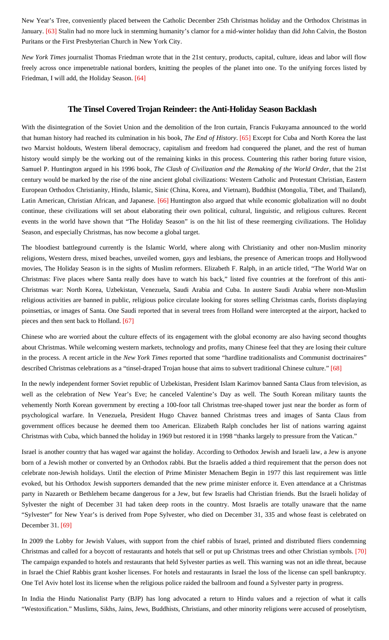<span id="page-13-0"></span>New Year's Tree, conveniently placed between the Catholic December 25th Christmas holiday and the Orthodox Christmas in January. [\[63\]](#page-17-7) Stalin had no more luck in stemming humanity's clamor for a mid-winter holiday than did John Calvin, the Boston Puritans or the First Presbyterian Church in New York City.

<span id="page-13-1"></span>*New York Times* journalist Thomas Friedman wrote that in the 21st century, products, capital, culture, ideas and labor will flow freely across once impenetrable national borders, knitting the peoples of the planet into one. To the unifying forces listed by Friedman, I will add, the Holiday Season. [\[64\]](#page-17-8)

## **The Tinsel Covered Trojan Reindeer: the Anti-Holiday Season Backlash**

<span id="page-13-2"></span>With the disintegration of the Soviet Union and the demolition of the Iron curtain, Francis Fukuyama announced to the world that human history had reached its culmination in his book, *The End of History*. [\[65\]](#page-17-9) Except for Cuba and North Korea the last two Marxist holdouts, Western liberal democracy, capitalism and freedom had conquered the planet, and the rest of human history would simply be the working out of the remaining kinks in this process. Countering this rather boring future vision, Samuel P. Huntington argued in his 1996 book, *The Clash of Civilization and the Remaking of the World Order*, that the 21st century would be marked by the rise of the nine ancient global civilizations: Western Catholic and Protestant Christian, Eastern European Orthodox Christianity, Hindu, Islamic, Sinic (China, Korea, and Vietnam), Buddhist (Mongolia, Tibet, and Thailand), Latin American, Christian African, and Japanese. [\[66\]](#page-17-10) Huntington also argued that while economic globalization will no doubt continue, these civilizations will set about elaborating their own political, cultural, linguistic, and religious cultures. Recent events in the world have shown that "The Holiday Season" is on the hit list of these reemerging civilizations. The Holiday Season, and especially Christmas, has now become a global target.

<span id="page-13-3"></span>The bloodiest battleground currently is the Islamic World, where along with Christianity and other non-Muslim minority religions, Western dress, mixed beaches, unveiled women, gays and lesbians, the presence of American troops and Hollywood movies, The Holiday Season is in the sights of Muslim reformers. Elizabeth F. Ralph, in an article titled, "The World War on Christmas: Five places where Santa really does have to watch his back," listed five countries at the forefront of this anti-Christmas war: North Korea, Uzbekistan, Venezuela, Saudi Arabia and Cuba. In austere Saudi Arabia where non-Muslim religious activities are banned in public, religious police circulate looking for stores selling Christmas cards, florists displaying poinsettias, or images of Santa. One Saudi reported that in several trees from Holland were intercepted at the airport, hacked to pieces and then sent back to Holland. [\[67\]](#page-17-11)

<span id="page-13-4"></span>Chinese who are worried about the culture effects of its engagement with the global economy are also having second thoughts about Christmas. While welcoming western markets, technology and profits, many Chinese feel that they are losing their culture in the process. A recent article in the *New York Times* reported that some "hardline traditionalists and Communist doctrinaires" described Christmas celebrations as a "tinsel-draped Trojan house that aims to subvert traditional Chinese culture." [\[68\]](#page-17-12)

<span id="page-13-5"></span>In the newly independent former Soviet republic of Uzbekistan, President Islam Karimov banned Santa Claus from television, as well as the celebration of New Year's Eve; he canceled Valentine's Day as well. The South Korean military taunts the vehemently North Korean government by erecting a 100-foor tall Christmas tree-shaped tower just near the border as form of psychological warfare. In Venezuela, President Hugo Chavez banned Christmas trees and images of Santa Claus from government offices because he deemed them too American. Elizabeth Ralph concludes her list of nations warring against Christmas with Cuba, which banned the holiday in 1969 but restored it in 1998 "thanks largely to pressure from the Vatican."

Israel is another country that has waged war against the holiday. According to Orthodox Jewish and Israeli law, a Jew is anyone born of a Jewish mother or converted by an Orthodox rabbi. But the Israelis added a third requirement that the person does not celebrate non-Jewish holidays. Until the election of Prime Minister Menachem Begin in 1977 this last requirement was little evoked, but his Orthodox Jewish supporters demanded that the new prime minister enforce it. Even attendance at a Christmas party in Nazareth or Bethlehem became dangerous for a Jew, but few Israelis had Christian friends. But the Israeli holiday of Sylvester the night of December 31 had taken deep roots in the country. Most Israelis are totally unaware that the name "Sylvester" for New Year's is derived from Pope Sylvester, who died on December 31, 335 and whose feast is celebrated on December 31. [\[69\]](#page-17-13)

<span id="page-13-7"></span><span id="page-13-6"></span>In 2009 the Lobby for Jewish Values, with support from the chief rabbis of Israel, printed and distributed fliers condemning Christmas and called for a boycott of restaurants and hotels that sell or put up Christmas trees and other Christian symbols. [\[70\]](#page-17-14) The campaign expanded to hotels and restaurants that held Sylvester parties as well. This warning was not an idle threat, because in Israel the Chief Rabbis grant kosher licenses. For hotels and restaurants in Israel the loss of the license can spell bankruptcy. One Tel Aviv hotel lost its license when the religious police raided the ballroom and found a Sylvester party in progress.

In India the Hindu Nationalist Party (BJP) has long advocated a return to Hindu values and a rejection of what it calls "Westoxification." Muslims, Sikhs, Jains, Jews, Buddhists, Christians, and other minority religions were accused of proselytism,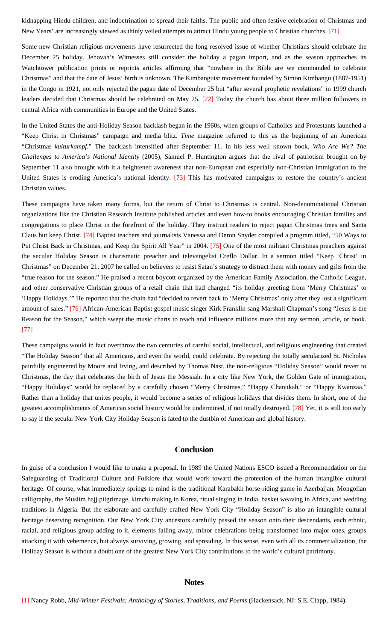<span id="page-14-1"></span>kidnapping Hindu children, and indoctrination to spread their faiths. The public and often festive celebration of Christmas and New Years' are increasingly viewed as thinly veiled attempts to attract Hindu young people to Christian churches. [\[71\]](#page-17-15)

Some new Christian religious movements have resurrected the long resolved issue of whether Christians should celebrate the December 25 holiday. Jehovah's Witnesses still consider the holiday a pagan import, and as the season approaches its Watchtower publication prints or reprints articles affirming that "nowhere in the Bible are we commanded to celebrate Christmas" and that the date of Jesus' birth is unknown. The Kimbanguist movement founded by Simon Kimbangu (1887-1951) in the Congo in 1921, not only rejected the pagan date of December 25 but "after several prophetic revelations" in 1999 church leaders decided that Christmas should be celebrated on May 25. [\[72\]](#page-17-16) Today the church has about three million followers in central Africa with communities in Europe and the United States.

<span id="page-14-2"></span>In the United States the anti-Holiday Season backlash began in the 1960s, when groups of Catholics and Protestants launched a "Keep Christ in Christmas" campaign and media blitz. *Time* magazine referred to this as the beginning of an American "Christmas *kulturkampf*." The backlash intensified after September 11. In his less well known book, *Who Are We? The Challenges to America's National Identity* (2005), Samuel P. Huntington argues that the rival of patriotism brought on by September 11 also brought with it a heightened awareness that non-European and especially non-Christian immigration to the United States is eroding America's national identity. [\[73\]](#page-17-17) This has motivated campaigns to restore the country's ancient Christian values.

<span id="page-14-5"></span><span id="page-14-4"></span><span id="page-14-3"></span>These campaigns have taken many forms, but the return of Christ to Christmas is central. Non-denominational Christian organizations like the Christian Research Institute published articles and even how-to books encouraging Christian families and congregations to place Christ in the forefront of the holiday. They instruct readers to reject pagan Christmas trees and Santa Claus but keep Christ. [\[74\]](#page-17-18) Baptist teachers and journalists Vanessa and Deron Snyder compiled a program titled, "50 Ways to Put Christ Back in Christmas, and Keep the Spirit All Year" in 2004. [\[75\]](#page-17-19) One of the most militant Christmas preachers against the secular Holiday Season is charismatic preacher and televangelist Creflo Dollar. In a sermon titled "Keep 'Christ' in Christmas" on December 21, 2007 he called on believers to resist Satan's strategy to distract them with money and gifts from the "true reason for the season." He praised a recent boycott organized by the American Family Association, the Catholic League, and other conservative Christian groups of a retail chain that had changed "its holiday greeting from 'Merry Christmas' to 'Happy Holidays.'" He reported that the chain had "decided to revert back to 'Merry Christmas' only after they lost a significant amount of sales." [\[76\]](#page-17-20) African-American Baptist gospel music singer Kirk Franklin sang Marshall Chapman's song "Jesus is the Reason for the Season," which swept the music charts to reach and influence millions more that any sermon, article, or book. [\[77\]](#page-17-21)

<span id="page-14-7"></span><span id="page-14-6"></span>These campaigns would in fact overthrow the two centuries of careful social, intellectual, and religious engineering that created "The Holiday Season" that all Americans, and even the world, could celebrate. By rejecting the totally secularized St. Nicholas painfully engineered by Moore and Irving, and described by Thomas Nast, the non-religious "Holiday Season" would revert to Christmas, the day that celebrates the birth of Jesus the Messiah. In a city like New York, the Golden Gate of immigration, "Happy Holidays" would be replaced by a carefully chosen "Merry Christmas," "Happy Chanukah," or "Happy Kwanzaa." Rather than a holiday that unites people, it would become a series of religious holidays that divides them. In short, one of the greatest accomplishments of American social history would be undermined, if not totally destroyed. [\[78\]](#page-17-22) Yet, it is still too early to say if the secular New York City Holiday Season is fated to the dustbin of American and global history.

#### **Conclusion**

<span id="page-14-8"></span><span id="page-14-0"></span>In guise of a conclusion I would like to make a proposal. In 1989 the United Nations ESCO issued a Recommendation on the Safeguarding of Traditional Culture and Folklore that would work toward the protection of the human intangible cultural heritage. Of course, what immediately springs to mind is the traditional Karabakh horse-riding game in Azerbaijan, Mongolian calligraphy, the Muslim hajj pilgrimage, kimchi making in Korea, ritual singing in India, basket weaving in Africa, and wedding traditions in Algeria. But the elaborate and carefully crafted New York City "Holiday Season" is also an intangible cultural heritage deserving recognition. Our New York City ancestors carefully passed the season onto their descendants, each ethnic, racial, and religious group adding to it, elements falling away, minor celebrations being transformed into major ones, groups attacking it with vehemence, but always surviving, growing, and spreading. In this sense, even with all its commercialization, the Holiday Season is without a doubt one of the greatest New York City contributions to the world's cultural patrimony.

#### **Notes**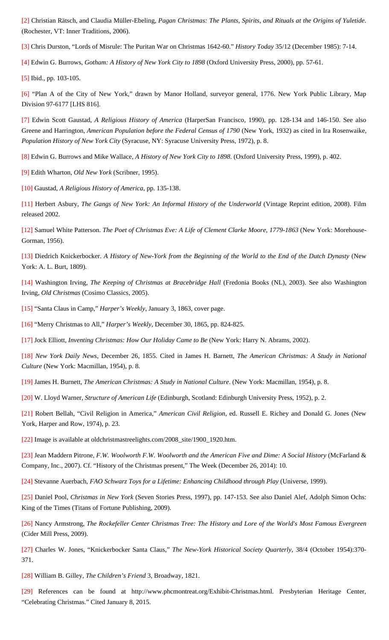<span id="page-15-0"></span>[\[2\]](#page-0-2) Christian Rätsch, and Claudia Müller-Ebeling, *Pagan Christmas: The Plants, Spirits, and Rituals at the Origins of Yuletide*. (Rochester, VT: Inner Traditions, 2006).

<span id="page-15-1"></span>[\[3\]](#page-1-0) Chris Durston, "Lords of Misrule: The Puritan War on Christmas 1642-60." *History Today* 35/12 (December 1985): 7-14.

<span id="page-15-2"></span>[\[4\]](#page-2-0) Edwin G. Burrows, *Gotham: A History of New York City to 1898* (Oxford University Press, 2000), pp. 57-61.

<span id="page-15-3"></span>[\[5\]](#page-2-1) Ibid., pp. 103-105.

<span id="page-15-4"></span>[\[6\]](#page-2-2) "Plan A of the City of New York," drawn by Manor Holland, surveyor general, 1776. New York Public Library, Map Division 97-6177 [LHS 816].

<span id="page-15-5"></span>[\[7\]](#page-2-3) Edwin Scott Gaustad, *A Religious History of America* (HarperSan Francisco, 1990), pp. 128-134 and 146-150. See also Greene and Harrington, *American Population before the Federal Census of 1790* (New York, 1932) as cited in Ira Rosenwaike, *Population History of New York City* (Syracuse, NY: Syracuse University Press, 1972), p. 8.

<span id="page-15-6"></span>[\[8\]](#page-3-0) Edwin G. Burrows and Mike Wallace, *A History of New York City to 1898*. (Oxford University Press, 1999), p. 402.

<span id="page-15-7"></span>[\[9\]](#page-3-1) Edith Wharton, *Old New York* (Scribner, 1995).

<span id="page-15-8"></span>[\[10\]](#page-3-2) Gaustad, *A Religious History of America*, pp. 135-138.

<span id="page-15-9"></span>[\[11\]](#page-3-3) Herbert Asbury, *The Gangs of New York: An Informal History of the Underworld* (Vintage Reprint edition, 2008). Film released 2002.

<span id="page-15-10"></span>[\[12\]](#page-4-0) Samuel White Patterson. *The Poet of Christmas Eve: A Life of Clement Clarke Moore, 1779-1863* (New York: Morehouse-Gorman, 1956).

<span id="page-15-11"></span>[\[13\]](#page-4-1) Diedrich Knickerbocker. *A History of New-York from the Beginning of the World to the End of the Dutch Dynasty* (New York: A. L. Burt, 1809).

<span id="page-15-12"></span>[\[14\]](#page-4-2) Washington Irving, *The Keeping of Christmas at Bracebridge Hall* (Fredonia Books (NL), 2003). See also Washington Irving, *Old Christmas* (Cosimo Classics, 2005).

<span id="page-15-13"></span>[\[15\]](#page-5-0) "Santa Claus in Camp," *Harper's Weekly*, January 3, 1863, cover page.

<span id="page-15-14"></span>[\[16\]](#page-5-1) "Merry Christmas to All," *Harper's Weekly*, December 30, 1865, pp. 824-825.

<span id="page-15-15"></span>[\[17\]](#page-5-2) Jock Elliott, *Inventing Christmas: How Our Holiday Came to Be* (New York: Harry N. Abrams, 2002).

<span id="page-15-16"></span>[\[18\]](#page-5-3) *New York Daily News*, December 26, 1855. Cited in James H. Barnett, *The American Christmas: A Study in National Culture* (New York: Macmillan, 1954), p. 8.

<span id="page-15-17"></span>[\[19\]](#page-5-4) James H. Burnett, *The American Christmas: A Study in National Culture*. (New York: Macmillan, 1954), p. 8.

<span id="page-15-18"></span>[\[20\]](#page-6-0) W. Lloyd Warner, *Structure of American Life* (Edinburgh, Scotland: Edinburgh University Press, 1952), p. 2.

<span id="page-15-19"></span>[\[21\]](#page-6-1) Robert Bellah, "Civil Religion in America," *American Civil Religion*, ed. Russell E. Richey and Donald G. Jones (New York, Harper and Row, 1974), p. 23.

<span id="page-15-20"></span>[\[22\]](#page-6-2) Image is available at oldchristmastreelights.com/2008\_site/1900\_1920.htm.

<span id="page-15-21"></span>[\[23\]](#page-6-3) Jean Maddern Pitrone, *F.W. Woolworth F.W. Woolworth and the American Five and Dime: A Social History* (McFarland & Company, Inc., 2007). Cf. "History of the Christmas present," The Week (December 26, 2014): 10.

<span id="page-15-22"></span>[\[24\]](#page-6-4) Stevanne Auerbach, *FAO Schwarz Toys for a Lifetime: Enhancing Childhood through Play* (Universe, 1999).

<span id="page-15-23"></span>[\[25\]](#page-6-5) Daniel Pool, *Christmas in New York* (Seven Stories Press, 1997), pp. 147-153. See also Daniel Alef, Adolph Simon Ochs: King of the Times (Titans of Fortune Publishing, 2009).

<span id="page-15-24"></span>[\[26\]](#page-6-6) Nancy Armstrong, *The Rockefeller Center Christmas Tree: The History and Lore of the World's Most Famous Evergreen* (Cider Mill Press, 2009).

<span id="page-15-25"></span>[\[27\]](#page-7-0) Charles W. Jones, "Knickerbocker Santa Claus," *The New-York Historical Society Quarterly*, 38/4 (October 1954):370- 371.

<span id="page-15-26"></span>[\[28\]](#page-7-0) William B. Gilley, *The Children's Friend* 3, Broadway, 1821.

<span id="page-15-27"></span>[\[29\]](#page-7-1) References can be found at http://www.phcmontreat.org/Exhibit-Christmas.html. Presbyterian Heritage Center, "Celebrating Christmas." Cited January 8, 2015.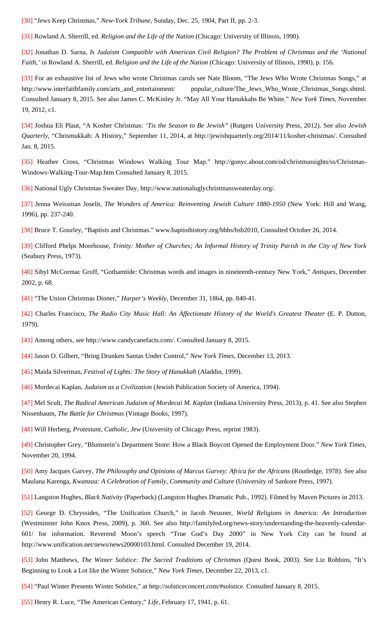<span id="page-16-0"></span>[\[30\]](#page-7-2) "Jews Keep Christmas," *New-York Tribune*, Sunday, Dec. 25, 1904, Part II, pp. 2-3.

<span id="page-16-1"></span>[\[31\]](#page-7-3) Rowland A. Sherrill, ed. *Religion and the Life of the Nation* (Chicago: University of Illinois, 1990).

<span id="page-16-2"></span>[\[32\]](#page-7-4) Jonathan D. Sarna, *Is Judaism Compatible with American Civil Religion? The Problem of Christmas and the 'National Faith,'* in Rowland A. Sherrill, ed. *Religion and the Life of the Nation* (Chicago: University of Illinois, 1990), p. 156.

<span id="page-16-3"></span>[\[33\]](#page-7-5) For an exhaustive list of Jews who wrote Christmas carols see Nate Bloom, "The Jews Who Wrote Christmas Songs," at http://www.interfaithfamily.com/arts\_and\_entertainment/ popular\_culture/The\_Jews\_Who\_Wrote\_Christmas\_Songs.shtml. Consulted January 8, 2015. See also James C. McKinley Jr. "May All Your Hanukkahs Be White." *New York Times*, November 19, 2012, c1.

<span id="page-16-4"></span>[\[34\]](#page-7-6) Joshua Eli Plaut, "A Kosher Christmas: *'Tis the Season to Be Jewish"* (Rutgers University Press, 2012). See also *Jewish Quarterly*, "Chrismukkah: A History," September 11, 2014, at http://jewishquarterly.org/2014/11/kosher-christmas/. Consulted Jan. 8, 2015.

<span id="page-16-5"></span>[\[35\]](#page-8-0) Heather Cross, "Christmas Windows Walking Tour Map." http://gonyc.about.com/od/christmassights/ss/Christmas-Windows-Walking-Tour-Map.htm Consulted January 8, 2015.

<span id="page-16-6"></span>[\[36\]](#page-8-1) National Ugly Christmas Sweater Day, http://www.nationaluglychristmassweaterday.org/.

<span id="page-16-7"></span>[\[37\]](#page-8-2) Jenna Weissman Joselit, *The Wonders of America: Reinventing Jewish Culture 1880-1950* (New York: Hill and Wang, 1996), pp. 237-240.

<span id="page-16-8"></span>[\[38\]](#page-8-3) Bruce T. Gourley, "Baptists and Christmas." www.baptisthistory.org/bhhs/bsb2010, Consulted October 26, 2014.

<span id="page-16-9"></span>[\[39\]](#page-8-4) Clifford Phelps Morehouse, *Trinity: Mother of Churches; An Informal History of Trinity Parish in the City of New York* (Seabury Press, 1973).

<span id="page-16-10"></span>[\[40\]](#page-8-5) Sibyl McCormac Groff, "Gothamtide: Christmas words and images in nineteenth-century New York," *Antiques*, December 2002, p. 68.

<span id="page-16-11"></span>[\[41\]](#page-8-6) "The Union Christmas Dinner," *Harper's Weekly*, December 31, 1864, pp. 840-41.

<span id="page-16-12"></span>[\[42\]](#page-9-0) Charles Francisco, *The Radio City Music Hall: An Affectionate History of the World's Greatest Theater* (E. P. Dutton, 1979).

<span id="page-16-13"></span>[\[43\]](#page-9-1) Among others, see http://www.candycanefacts.com/. Consulted January 8, 2015.

<span id="page-16-14"></span>[\[44\]](#page-9-2) Jason O. Gilbert, "Bring Drunken Santas Under Control," *New York Times*, December 13, 2013.

<span id="page-16-15"></span>[\[45\]](#page-9-3) Maida Silverman, *Festival of Lights: The Story of Hanukkah* (Aladdin, 1999).

<span id="page-16-16"></span>[\[46\]](#page-9-4) Mordecai Kaplan, *Judaism as a Civilization* (Jewish Publication Society of America, 1994).

<span id="page-16-17"></span>[\[47\]](#page-10-0) Mel Scult, *The Radical American Judaism of Mordecai M. Kaplan* (Indiana University Press, 2013), p. 41. See also Stephen Nissenbaum, *The Battle for Christmas* (Vintage Books, 1997).

<span id="page-16-18"></span>[\[48\]](#page-10-1) Will Herberg, *Protestant, Catholic, Jew* (University of Chicago Press, reprint 1983).

<span id="page-16-19"></span>[\[49\]](#page-10-2) Christopher Grey, "Blumstein's Department Store: How a Black Boycott Opened the Employment Door." *New York Times*, November 20, 1994.

<span id="page-16-20"></span>[\[50\]](#page-10-3) Amy Jacques Garvey, *The Philosophy and Opinions of Marcus Garvey: Africa for the Africans* (Routledge, 1978). See also Maulana Karenga, *Kwanzaa: A Celebration of Family, Community and Culture* (University of Sankore Press, 1997).

<span id="page-16-21"></span>[\[51\]](#page-10-4) Langston Hughes, *Black Nativity* (Paperback) (Langston Hughes Dramatic Pub., 1992). Filmed by Maven Pictures in 2013.

<span id="page-16-22"></span>[\[52\]](#page-11-0) George D. Chryssides, "The Unification Church," in Jacob Neusner, *World Religions in America: An Introduction* (Westminster John Knox Press, 2009), p. 360. See also http://familyfed.org/news-story/understanding-the-heavenly-calendar-601/ for information. Reverend Moon's speech "True God's Day 2000" in New York City can be found at http://www.unification.net/news/news20000103.html. Consulted December 19, 2014.

<span id="page-16-23"></span>[\[53\]](#page-11-1) John Matthews, *The Winter Solstice: The Sacred Traditions of Christmas* (Quest Book, 2003). See Liz Robbins, "It's Beginning to Look a Lot like the Winter Solstice," *New York Times*, December 22, 2013, c1.

<span id="page-16-24"></span>[\[54\]](#page-11-2) "Paul Winter Presents Winter Solstice," at http://solsticeconcert.com/#solstice. Consulted January 8, 2015.

<span id="page-16-25"></span>[\[55\]](#page-11-3) Henry R. Luce, "The American Century," *Life*, February 17, 1941, p. 61.